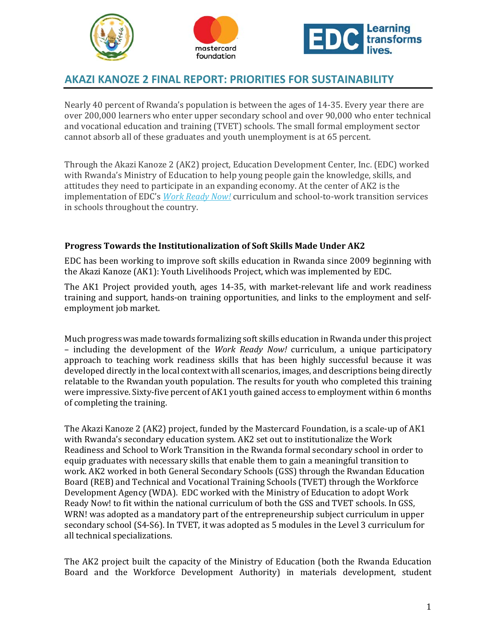



# **AKAZI KANOZE 2 FINAL REPORT: PRIORITIES FOR SUSTAINABILITY**

Nearly 40 percent of Rwanda's population is between the ages of 14-35. Every year there are over 200,000 learners who enter upper secondary school and over 90,000 who enter technical and vocational education and training (TVET) schools. The small formal employment sector cannot absorb all of these graduates and youth unemployment is at 65 percent.

Through the Akazi Kanoze 2 (AK2) project, Education Development Center, Inc. (EDC) worked with Rwanda's Ministry of Education to help young people gain the knowledge, skills, and attitudes they need to participate in an expanding economy. At the center of AK2 is the implementation of EDC's *Work Ready Now!* curriculum and school-to-work transition services in schools throughout the country.

### **Progress Towards the Institutionalization of Soft Skills Made Under AK2**

EDC has been working to improve soft skills education in Rwanda since 2009 beginning with the Akazi Kanoze (AK1): Youth Livelihoods Project, which was implemented by EDC.

The AK1 Project provided youth, ages 14–35, with market-relevant life and work readiness training and support, hands-on training opportunities, and links to the employment and selfemployment job market.

Much progress was made towards formalizing soft skills education in Rwanda under this project – including the development of the *Work Ready Now!* curriculum, a unique participatory approach to teaching work readiness skills that has been highly successful because it was developed directly in the local context with all scenarios, images, and descriptions being directly relatable to the Rwandan youth population. The results for youth who completed this training were impressive. Sixty-five percent of AK1 youth gained access to employment within 6 months of completing the training.

The Akazi Kanoze 2 (AK2) project, funded by the Mastercard Foundation, is a scale-up of AK1 with Rwanda's secondary education system. AK2 set out to institutionalize the Work Readiness and School to Work Transition in the Rwanda formal secondary school in order to equip graduates with necessary skills that enable them to gain a meaningful transition to work. AK2 worked in both General Secondary Schools (GSS) through the Rwandan Education Board (REB) and Technical and Vocational Training Schools (TVET) through the Workforce Development Agency (WDA). EDC worked with the Ministry of Education to adopt Work Ready Now! to fit within the national curriculum of both the GSS and TVET schools. In GSS, WRN! was adopted as a mandatory part of the entrepreneurship subject curriculum in upper secondary school (S4-S6). In TVET, it was adopted as 5 modules in the Level 3 curriculum for all technical specializations.

The AK2 project built the capacity of the Ministry of Education (both the Rwanda Education Board and the Workforce Development Authority) in materials development, student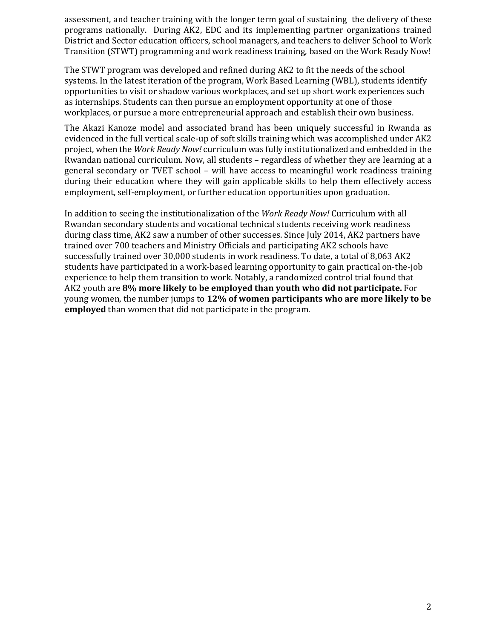assessment, and teacher training with the longer term goal of sustaining the delivery of these programs nationally. During AK2, EDC and its implementing partner organizations trained District and Sector education officers, school managers, and teachers to deliver School to Work Transition (STWT) programming and work readiness training, based on the Work Ready Now!

The STWT program was developed and refined during AK2 to fit the needs of the school systems. In the latest iteration of the program, Work Based Learning (WBL), students identify opportunities to visit or shadow various workplaces, and set up short work experiences such as internships. Students can then pursue an employment opportunity at one of those workplaces, or pursue a more entrepreneurial approach and establish their own business.

The Akazi Kanoze model and associated brand has been uniquely successful in Rwanda as evidenced in the full vertical scale-up of soft skills training which was accomplished under AK2 project, when the *Work Ready Now!* curriculum was fully institutionalized and embedded in the Rwandan national curriculum. Now, all students – regardless of whether they are learning at a general secondary or TVET school – will have access to meaningful work readiness training during their education where they will gain applicable skills to help them effectively access employment, self-employment, or further education opportunities upon graduation.

In addition to seeing the institutionalization of the *Work Ready Now!* Curriculum with all Rwandan secondary students and vocational technical students receiving work readiness during class time, AK2 saw a number of other successes. Since July 2014, AK2 partners have trained over 700 teachers and Ministry Officials and participating AK2 schools have successfully trained over 30,000 students in work readiness. To date, a total of 8,063 AK2 students have participated in a work-based learning opportunity to gain practical on-the-job experience to help them transition to work. Notably, a randomized control trial found that AK2 youth are **8% more likely to be employed than youth who did not participate.** For young women, the number jumps to **12% of women participants who are more likely to be employed** than women that did not participate in the program.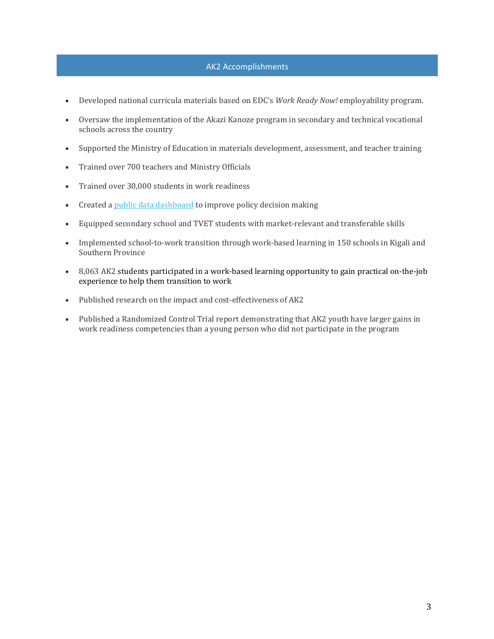### AK2 Accomplishments

- Developed national curricula materials based on EDC's *Work Ready Now!* employability program.
- Oversaw the implementation of the Akazi Kanoze program in secondary and technical vocational schools across the country
- Supported the Ministry of Education in materials development, assessment, and teacher training
- Trained over 700 teachers and Ministry Officials
- Trained over 30,000 students in work readiness
- Created a public data dashboard to improve policy decision making
- Equipped secondary school and TVET students with market-relevant and transferable skills
- Implemented school-to-work transition through work-based learning in 150 schools in Kigali and Southern Province
- 8,063 AK2 students participated in a work-based learning opportunity to gain practical on-the-job experience to help them transition to work
- Published research on the impact and cost-effectiveness of AK2
- Published a Randomized Control Trial report demonstrating that AK2 youth have larger gains in work readiness competencies than a young person who did not participate in the program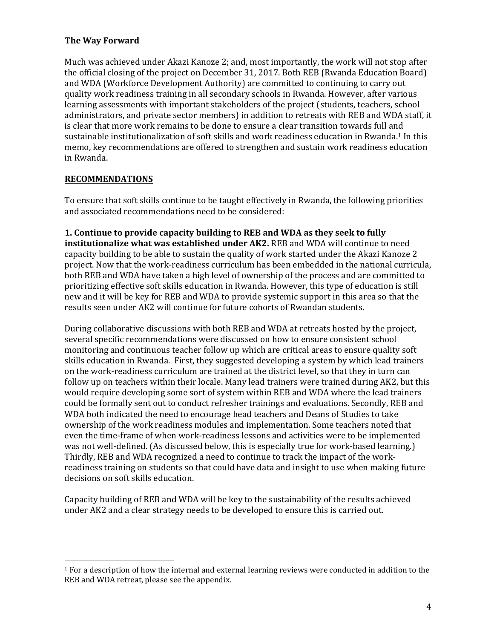### **The Way Forward**

Much was achieved under Akazi Kanoze 2; and, most importantly, the work will not stop after the official closing of the project on December 31, 2017. Both REB (Rwanda Education Board) and WDA (Workforce Development Authority) are committed to continuing to carry out quality work readiness training in all secondary schools in Rwanda. However, after various learning assessments with important stakeholders of the project (students, teachers, school administrators, and private sector members) in addition to retreats with REB and WDA staff, it is clear that more work remains to be done to ensure a clear transition towards full and sustainable institutionalization of soft skills and work readiness education in Rwanda.<sup>1</sup> In this memo, key recommendations are offered to strengthen and sustain work readiness education in Rwanda. 

### **RECOMMENDATIONS**

 

To ensure that soft skills continue to be taught effectively in Rwanda, the following priorities and associated recommendations need to be considered:

**1. Continue to provide capacity building to REB and WDA as they seek to fully institutionalize what was established under AK2. REB and WDA will continue to need** capacity building to be able to sustain the quality of work started under the Akazi Kanoze 2 project. Now that the work-readiness curriculum has been embedded in the national curricula, both REB and WDA have taken a high level of ownership of the process and are committed to prioritizing effective soft skills education in Rwanda. However, this type of education is still new and it will be key for REB and WDA to provide systemic support in this area so that the results seen under AK2 will continue for future cohorts of Rwandan students.

During collaborative discussions with both REB and WDA at retreats hosted by the project, several specific recommendations were discussed on how to ensure consistent school monitoring and continuous teacher follow up which are critical areas to ensure quality soft skills education in Rwanda. First, they suggested developing a system by which lead trainers on the work-readiness curriculum are trained at the district level, so that they in turn can follow up on teachers within their locale. Many lead trainers were trained during AK2, but this would require developing some sort of system within REB and WDA where the lead trainers could be formally sent out to conduct refresher trainings and evaluations. Secondly, REB and WDA both indicated the need to encourage head teachers and Deans of Studies to take ownership of the work readiness modules and implementation. Some teachers noted that even the time-frame of when work-readiness lessons and activities were to be implemented was not well-defined. (As discussed below, this is especially true for work-based learning.) Thirdly, REB and WDA recognized a need to continue to track the impact of the workreadiness training on students so that could have data and insight to use when making future decisions on soft skills education.

Capacity building of REB and WDA will be key to the sustainability of the results achieved under AK2 and a clear strategy needs to be developed to ensure this is carried out.

 $1$  For a description of how the internal and external learning reviews were conducted in addition to the REB and WDA retreat, please see the appendix.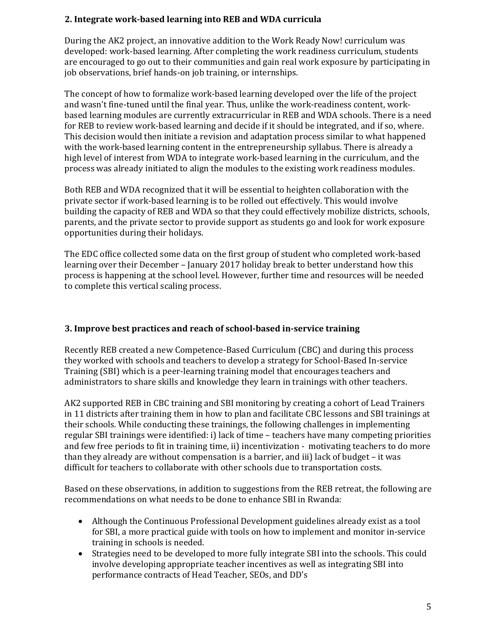# **2. Integrate work‐based learning into REB and WDA curricula**

During the AK2 project, an innovative addition to the Work Ready Now! curriculum was developed: work-based learning. After completing the work readiness curriculum, students are encouraged to go out to their communities and gain real work exposure by participating in job observations, brief hands-on job training, or internships.

The concept of how to formalize work-based learning developed over the life of the project and wasn't fine-tuned until the final year. Thus, unlike the work-readiness content, workbased learning modules are currently extracurricular in REB and WDA schools. There is a need for REB to review work-based learning and decide if it should be integrated, and if so, where. This decision would then initiate a revision and adaptation process similar to what happened with the work-based learning content in the entrepreneurship syllabus. There is already a high level of interest from WDA to integrate work-based learning in the curriculum, and the process was already initiated to align the modules to the existing work readiness modules.

Both REB and WDA recognized that it will be essential to heighten collaboration with the private sector if work-based learning is to be rolled out effectively. This would involve building the capacity of REB and WDA so that they could effectively mobilize districts, schools, parents, and the private sector to provide support as students go and look for work exposure opportunities during their holidays.

The EDC office collected some data on the first group of student who completed work-based learning over their December – January 2017 holiday break to better understand how this process is happening at the school level. However, further time and resources will be needed to complete this vertical scaling process.

# **3. Improve best practices and reach of school‐based in‐service training**

Recently REB created a new Competence-Based Curriculum (CBC) and during this process they worked with schools and teachers to develop a strategy for School-Based In-service Training (SBI) which is a peer-learning training model that encourages teachers and administrators to share skills and knowledge they learn in trainings with other teachers.

AK2 supported REB in CBC training and SBI monitoring by creating a cohort of Lead Trainers in 11 districts after training them in how to plan and facilitate CBC lessons and SBI trainings at their schools. While conducting these trainings, the following challenges in implementing regular SBI trainings were identified: i) lack of time - teachers have many competing priorities and few free periods to fit in training time, ii) incentivization - motivating teachers to do more than they already are without compensation is a barrier, and iii) lack of budget  $-$  it was difficult for teachers to collaborate with other schools due to transportation costs.

Based on these observations, in addition to suggestions from the REB retreat, the following are recommendations on what needs to be done to enhance SBI in Rwanda:

- Although the Continuous Professional Development guidelines already exist as a tool for SBI, a more practical guide with tools on how to implement and monitor in-service training in schools is needed.
- Strategies need to be developed to more fully integrate SBI into the schools. This could involve developing appropriate teacher incentives as well as integrating SBI into performance contracts of Head Teacher, SEOs, and DD's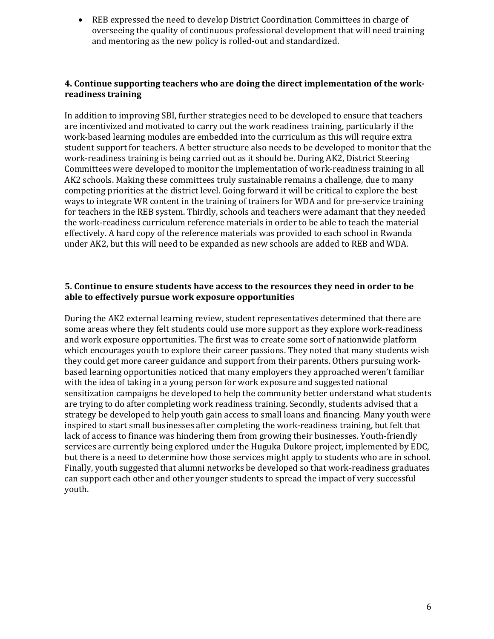• REB expressed the need to develop District Coordination Committees in charge of overseeing the quality of continuous professional development that will need training and mentoring as the new policy is rolled-out and standardized.

### **4. Continue supporting teachers who are doing the direct implementation of the work‐ readiness training**

In addition to improving SBI, further strategies need to be developed to ensure that teachers are incentivized and motivated to carry out the work readiness training, particularly if the work-based learning modules are embedded into the curriculum as this will require extra student support for teachers. A better structure also needs to be developed to monitor that the work-readiness training is being carried out as it should be. During AK2, District Steering Committees were developed to monitor the implementation of work-readiness training in all AK2 schools. Making these committees truly sustainable remains a challenge, due to many competing priorities at the district level. Going forward it will be critical to explore the best ways to integrate WR content in the training of trainers for WDA and for pre-service training for teachers in the REB system. Thirdly, schools and teachers were adamant that they needed the work-readiness curriculum reference materials in order to be able to teach the material effectively. A hard copy of the reference materials was provided to each school in Rwanda under AK2, but this will need to be expanded as new schools are added to REB and WDA.

### **5. Continue to ensure students have access to the resources they need in order to be able to effectively pursue work exposure opportunities**

During the AK2 external learning review, student representatives determined that there are some areas where they felt students could use more support as they explore work-readiness and work exposure opportunities. The first was to create some sort of nationwide platform which encourages youth to explore their career passions. They noted that many students wish they could get more career guidance and support from their parents. Others pursuing workbased learning opportunities noticed that many employers they approached weren't familiar with the idea of taking in a young person for work exposure and suggested national sensitization campaigns be developed to help the community better understand what students are trying to do after completing work readiness training. Secondly, students advised that a strategy be developed to help youth gain access to small loans and financing. Many youth were inspired to start small businesses after completing the work-readiness training, but felt that lack of access to finance was hindering them from growing their businesses. Youth-friendly services are currently being explored under the Huguka Dukore project, implemented by EDC, but there is a need to determine how those services might apply to students who are in school. Finally, youth suggested that alumni networks be developed so that work-readiness graduates can support each other and other younger students to spread the impact of very successful youth.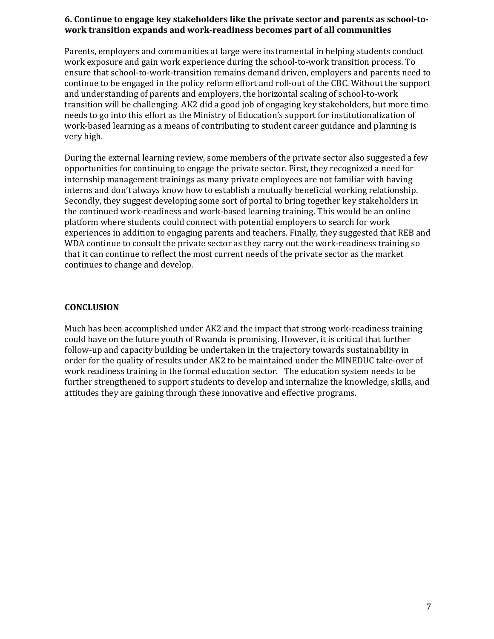#### **6. Continue to engage key stakeholders like the private sector and parents as school‐to‐ work transition expands and work‐readiness becomes part of all communities**

Parents, employers and communities at large were instrumental in helping students conduct work exposure and gain work experience during the school-to-work transition process. To ensure that school-to-work-transition remains demand driven, employers and parents need to continue to be engaged in the policy reform effort and roll-out of the CBC. Without the support and understanding of parents and employers, the horizontal scaling of school-to-work transition will be challenging. AK2 did a good job of engaging key stakeholders, but more time needs to go into this effort as the Ministry of Education's support for institutionalization of work-based learning as a means of contributing to student career guidance and planning is very high.

During the external learning review, some members of the private sector also suggested a few opportunities for continuing to engage the private sector. First, they recognized a need for internship management trainings as many private employees are not familiar with having interns and don't always know how to establish a mutually beneficial working relationship. Secondly, they suggest developing some sort of portal to bring together key stakeholders in the continued work-readiness and work-based learning training. This would be an online platform where students could connect with potential employers to search for work experiences in addition to engaging parents and teachers. Finally, they suggested that REB and WDA continue to consult the private sector as they carry out the work-readiness training so that it can continue to reflect the most current needs of the private sector as the market continues to change and develop.

### **CONCLUSION**

Much has been accomplished under AK2 and the impact that strong work-readiness training could have on the future youth of Rwanda is promising. However, it is critical that further follow-up and capacity building be undertaken in the trajectory towards sustainability in order for the quality of results under AK2 to be maintained under the MINEDUC take-over of work readiness training in the formal education sector. The education system needs to be further strengthened to support students to develop and internalize the knowledge, skills, and attitudes they are gaining through these innovative and effective programs.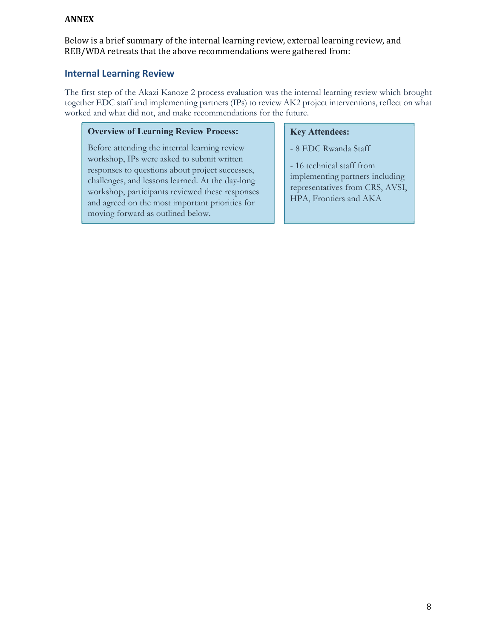### **ANNEX**

Below is a brief summary of the internal learning review, external learning review, and REB/WDA retreats that the above recommendations were gathered from:

# **Internal Learning Review**

The first step of the Akazi Kanoze 2 process evaluation was the internal learning review which brought together EDC staff and implementing partners (IPs) to review AK2 project interventions, reflect on what worked and what did not, and make recommendations for the future.

#### **Overview of Learning Review Process:**

Before attending the internal learning review workshop, IPs were asked to submit written responses to questions about project successes, challenges, and lessons learned. At the day-long workshop, participants reviewed these responses and agreed on the most important priorities for moving forward as outlined below.

#### **Key Attendees:**

- 8 EDC Rwanda Staff

- 16 technical staff from implementing partners including representatives from CRS, AVSI, HPA, Frontiers and AKA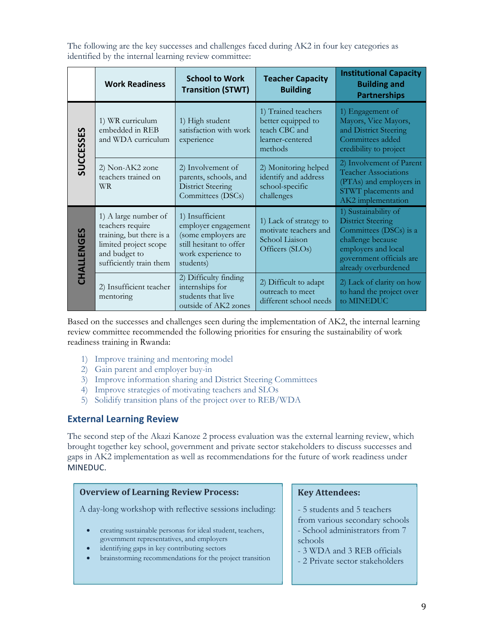|            | <b>Work Readiness</b>                                                                                                                     | <b>School to Work</b><br><b>Transition (STWT)</b>                                                                           | <b>Teacher Capacity</b><br><b>Building</b>                                                | <b>Institutional Capacity</b><br><b>Building and</b><br><b>Partnerships</b>                                                                                                |
|------------|-------------------------------------------------------------------------------------------------------------------------------------------|-----------------------------------------------------------------------------------------------------------------------------|-------------------------------------------------------------------------------------------|----------------------------------------------------------------------------------------------------------------------------------------------------------------------------|
| SUCCESSES  | 1) WR curriculum<br>embedded in REB<br>and WDA curriculum                                                                                 | 1) High student<br>satisfaction with work<br>experience                                                                     | 1) Trained teachers<br>better equipped to<br>teach CBC and<br>learner-centered<br>methods | 1) Engagement of<br>Mayors, Vice Mayors,<br>and District Steering<br>Committees added<br>credibility to project                                                            |
|            | 2) Non-AK2 zone<br>teachers trained on<br><b>WR</b>                                                                                       | 2) Involvement of<br>parents, schools, and<br><b>District Steering</b><br>Committees (DSCs)                                 | 2) Monitoring helped<br>identify and address<br>school-specific<br>challenges             | 2) Involvement of Parent<br><b>Teacher Associations</b><br>(PTAs) and employers in<br>STWT placements and<br>AK2 implementation                                            |
| CHALLENGES | 1) A large number of<br>teachers require<br>training, but there is a<br>limited project scope<br>and budget to<br>sufficiently train them | 1) Insufficient<br>employer engagement<br>(some employers are<br>still hesitant to offer<br>work experience to<br>students) | 1) Lack of strategy to<br>motivate teachers and<br>School Liaison<br>Officers (SLOs)      | 1) Sustainability of<br><b>District Steering</b><br>Committees (DSCs) is a<br>challenge because<br>employers and local<br>government officials are<br>already overburdened |
|            | 2) Insufficient teacher<br>mentoring                                                                                                      | 2) Difficulty finding<br>internships for<br>students that live<br>outside of AK2 zones                                      | 2) Difficult to adapt<br>outreach to meet<br>different school needs                       | 2) Lack of clarity on how<br>to hand the project over<br>to MINEDUC                                                                                                        |

The following are the key successes and challenges faced during AK2 in four key categories as identified by the internal learning review committee:

Based on the successes and challenges seen during the implementation of AK2, the internal learning review committee recommended the following priorities for ensuring the sustainability of work readiness training in Rwanda:

- 1) Improve training and mentoring model
- 2) Gain parent and employer buy-in
- 3) Improve information sharing and District Steering Committees
- 4) Improve strategies of motivating teachers and SLOs
- 5) Solidify transition plans of the project over to REB/WDA

### **External Learning Review**

The second step of the Akazi Kanoze 2 process evaluation was the external learning review, which brought together key school, government and private sector stakeholders to discuss successes and gaps in AK2 implementation as well as recommendations for the future of work readiness under MINEDUC.

#### **Overview of Learning Review Process:**

A day-long workshop with reflective sessions including:

- creating sustainable personas for ideal student, teachers, government representatives, and employers
- identifying gaps in key contributing sectors
- brainstorming recommendations for the project transition

#### **Key Attendees:**

- 5 students and 5 teachers
- from various secondary schools - School administrators from 7 schools
- 3 WDA and 3 REB officials
- 2 Private sector stakeholders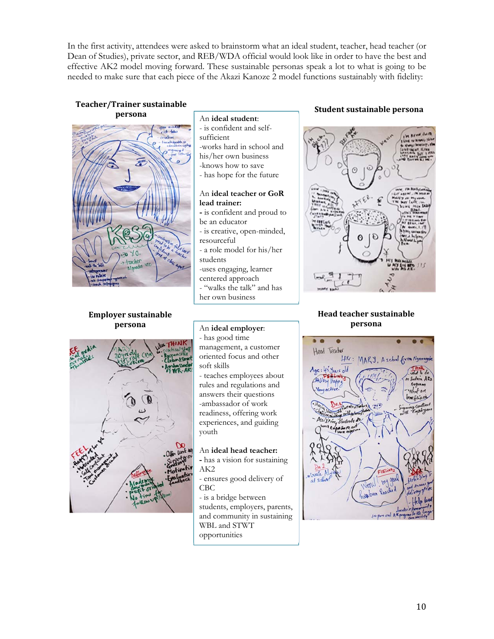In the first activity, attendees were asked to brainstorm what an ideal student, teacher, head teacher (or Dean of Studies), private sector, and REB/WDA official would look like in order to have the best and effective AK2 model moving forward. These sustainable personas speak a lot to what is going to be needed to make sure that each piece of the Akazi Kanoze 2 model functions sustainably with fidelity:

#### **Teacher/Trainer sustainable persona**



#### **Employer sustainable persona**

### An **ideal student**:

- is confident and selfsufficient -works hard in school and his/her own business -knows how to save - has hope for the future

#### An **ideal teacher or GoR lead trainer:**

- is confident and proud to
- be an educator
- is creative, open-minded, resourceful
- a role model for his/her students
- -uses engaging, learner
- centered approach
- "walks the talk" and has
- her own business

#### **Student sustainable persona**



#### **Head teacher sustainable persona**



#### An **ideal employer**:

- has good time management, a customer oriented focus and other
- soft skills

- teaches employees about rules and regulations and answers their questions -ambassador of work readiness, offering work experiences, and guiding youth

#### An **ideal head teacher:**

- has a vision for sustaining AK2
- ensures good delivery of CBC

- is a bridge between students, employers, parents, and community in sustaining WBL and STWT opportunities

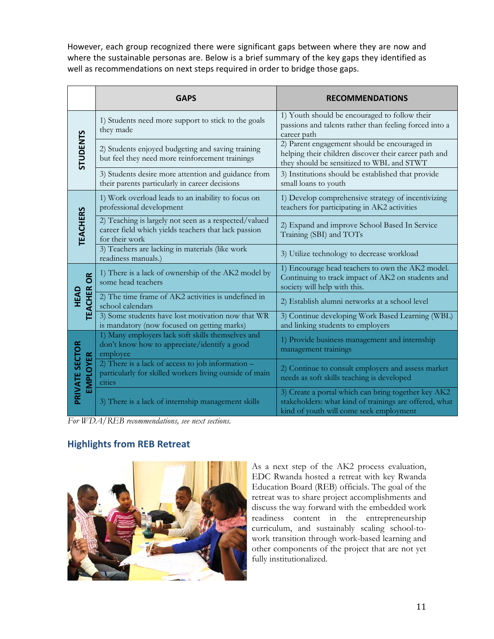However, each group recognized there were significant gaps between where they are now and where the sustainable personas are. Below is a brief summary of the key gaps they identified as well as recommendations on next steps required in order to bridge those gaps.

|                                     | <b>GAPS</b>                                                                                                                     | <b>RECOMMENDATIONS</b>                                                                                                                                   |
|-------------------------------------|---------------------------------------------------------------------------------------------------------------------------------|----------------------------------------------------------------------------------------------------------------------------------------------------------|
| <b>STUDENTS</b>                     | 1) Students need more support to stick to the goals<br>they made                                                                | 1) Youth should be encouraged to follow their<br>passions and talents rather than feeling forced into a<br>career path                                   |
|                                     | 2) Students enjoyed budgeting and saving training<br>but feel they need more reinforcement trainings                            | 2) Parent engagement should be encouraged in<br>helping their children discover their career path and<br>they should be sensitized to WBL and STWT       |
|                                     | 3) Students desire more attention and guidance from<br>their parents particularly in career decisions                           | 3) Institutions should be established that provide<br>small loans to youth                                                                               |
| <b>TEACHERS</b>                     | 1) Work overload leads to an inability to focus on<br>professional development                                                  | 1) Develop comprehensive strategy of incentivizing<br>teachers for participating in AK2 activities                                                       |
|                                     | 2) Teaching is largely not seen as a respected/valued<br>career field which yields teachers that lack passion<br>for their work | 2) Expand and improve School Based In Service<br>Training (SBI) and TOTs                                                                                 |
|                                     | 3) Teachers are lacking in materials (like work<br>readiness manuals.)                                                          | 3) Utilize technology to decrease workload                                                                                                               |
| <b>OR</b><br><b>TEACHER</b><br>HEAD | 1) There is a lack of ownership of the AK2 model by<br>some head teachers                                                       | 1) Encourage head teachers to own the AK2 model.<br>Continuing to track impact of AK2 on students and<br>society will help with this.                    |
|                                     | 2) The time frame of AK2 activities is undefined in<br>school calendars                                                         | 2) Establish alumni networks at a school level                                                                                                           |
|                                     | 3) Some students have lost motivation now that WR<br>is mandatory (now focused on getting marks)                                | 3) Continue developing Work Based Learning (WBL)<br>and linking students to employers                                                                    |
| PRIVATE SECTOR<br><b>EMPLOYER</b>   | 1) Many employers lack soft skills themselves and<br>don't know how to appreciate/identify a good<br>employee                   | 1) Provide business management and internship<br>management trainings                                                                                    |
|                                     | 2) There is a lack of access to job information -<br>particularly for skilled workers living outside of main<br>cities          | 2) Continue to consult employers and assess market<br>needs as soft skills teaching is developed                                                         |
|                                     | 3) There is a lack of internship management skills                                                                              | 3) Create a portal which can bring together key AK2<br>stakeholders: what kind of trainings are offered, what<br>kind of youth will come seek employment |

*For WDA/REB recommendations, see next sections.* 

# **Highlights from REB Retreat**



As a next step of the AK2 process evaluation, EDC Rwanda hosted a retreat with key Rwanda Education Board (REB) officials. The goal of the retreat was to share project accomplishments and discuss the way forward with the embedded work readiness content in the entrepreneurship curriculum, and sustainably scaling school-towork transition through work-based learning and other components of the project that are not yet fully institutionalized.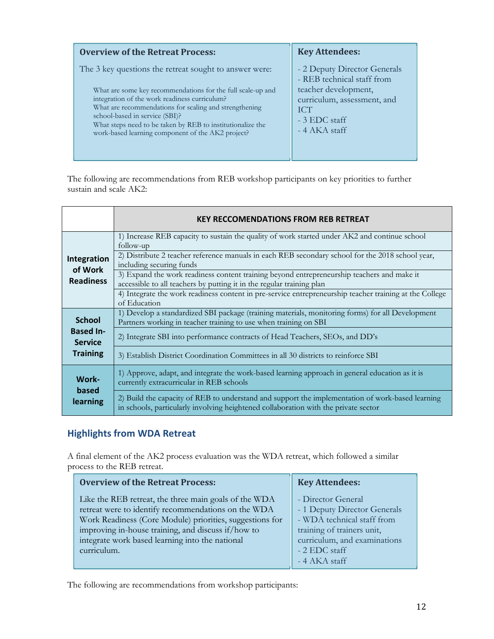| <b>Overview of the Retreat Process:</b>                                                                                                                                                                                                                                                                                     | <b>Key Attendees:</b>                                                                               |
|-----------------------------------------------------------------------------------------------------------------------------------------------------------------------------------------------------------------------------------------------------------------------------------------------------------------------------|-----------------------------------------------------------------------------------------------------|
| The 3 key questions the retreat sought to answer were:                                                                                                                                                                                                                                                                      | - 2 Deputy Director Generals<br>- REB technical staff from                                          |
| What are some key recommendations for the full scale-up and<br>integration of the work readiness curriculum?<br>What are recommendations for scaling and strengthening<br>school-based in service (SBI)?<br>What steps need to be taken by REB to institutionalize the<br>work-based learning component of the AK2 project? | teacher development,<br>curriculum, assessment, and<br><b>ICT</b><br>- 3 EDC staff<br>- 4 AKA staff |

The following are recommendations from REB workshop participants on key priorities to further sustain and scale AK2:

|                                    | <b>KEY RECCOMENDATIONS FROM REB RETREAT</b>                                                                                                                                             |
|------------------------------------|-----------------------------------------------------------------------------------------------------------------------------------------------------------------------------------------|
|                                    | 1) Increase REB capacity to sustain the quality of work started under AK2 and continue school<br>follow-up                                                                              |
| Integration<br>of Work             | 2) Distribute 2 teacher reference manuals in each REB secondary school for the 2018 school year,<br>including securing funds                                                            |
| <b>Readiness</b>                   | 3) Expand the work readiness content training beyond entrepreneurship teachers and make it<br>accessible to all teachers by putting it in the regular training plan                     |
|                                    | 4) Integrate the work readiness content in pre-service entrepreneurship teacher training at the College<br>of Education                                                                 |
| <b>School</b>                      | 1) Develop a standardized SBI package (training materials, monitoring forms) for all Development<br>Partners working in teacher training to use when training on SBI                    |
| <b>Based In-</b><br><b>Service</b> | 2) Integrate SBI into performance contracts of Head Teachers, SEOs, and DD's                                                                                                            |
| <b>Training</b>                    | 3) Establish District Coordination Committees in all 30 districts to reinforce SBI                                                                                                      |
| Work-                              | 1) Approve, adapt, and integrate the work-based learning approach in general education as it is<br>currently extracurricular in REB schools                                             |
| based<br>learning                  | 2) Build the capacity of REB to understand and support the implementation of work-based learning<br>in schools, particularly involving heightened collaboration with the private sector |

# **Highlights from WDA Retreat**

A final element of the AK2 process evaluation was the WDA retreat, which followed a similar process to the REB retreat.

| <b>Overview of the Retreat Process:</b>                  | <b>Key Attendees:</b>        |
|----------------------------------------------------------|------------------------------|
| Like the REB retreat, the three main goals of the WDA    | - Director General           |
| retreat were to identify recommendations on the WDA      | - 1 Deputy Director Generals |
| Work Readiness (Core Module) priorities, suggestions for | - WDA technical staff from   |
| improving in-house training, and discuss if/how to       | training of trainers unit,   |
| integrate work based learning into the national          | curriculum, and examinations |
| curriculum.                                              | - 2 EDC staff                |
|                                                          | -4 AKA staff                 |

The following are recommendations from workshop participants: